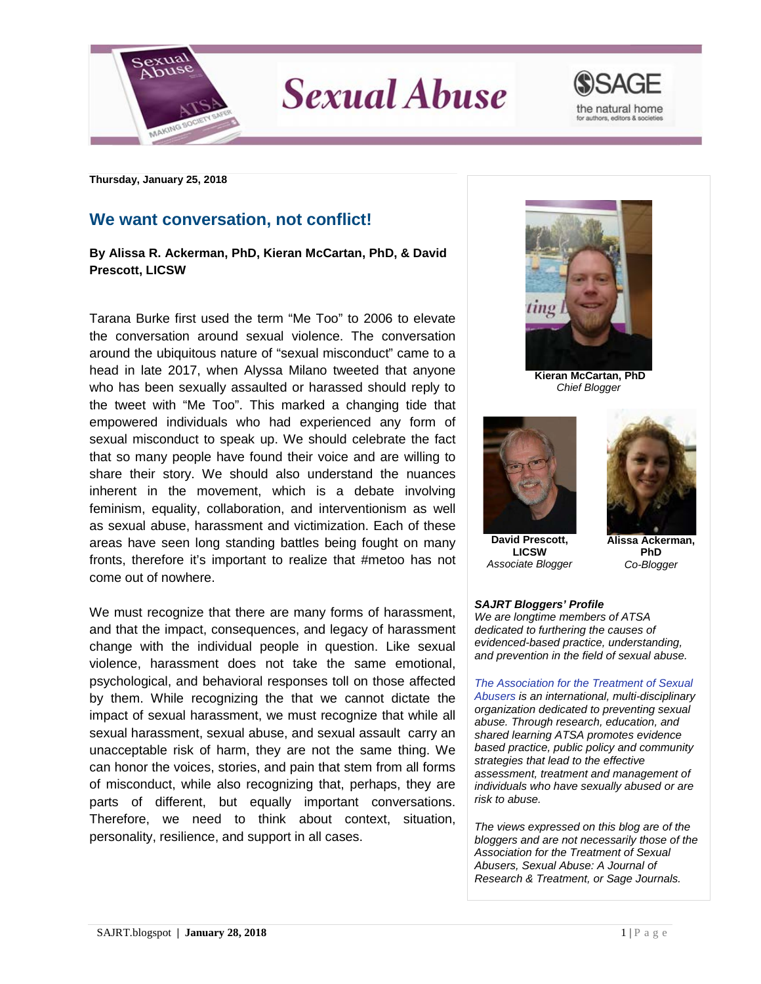

**Sexual Abuse** 



**Thursday, January 25, 2018**

## **We want conversation, not conflict!**

## **By Alissa R. Ackerman, PhD, Kieran McCartan, PhD, & David Prescott, LICSW**

Tarana Burke first used the term "Me Too" to 2006 to elevate the conversation around sexual violence. The conversation around the ubiquitous nature of "sexual misconduct" came to a head in late 2017, when Alyssa Milano tweeted that anyone who has been sexually assaulted or harassed should reply to the tweet with "Me Too". This marked a changing tide that empowered individuals who had experienced any form of sexual misconduct to speak up. We should celebrate the fact that so many people have found their voice and are willing to share their story. We should also understand the nuances inherent in the movement, which is a debate involving feminism, equality, collaboration, and interventionism as well as sexual abuse, harassment and victimization. Each of these areas have seen long standing battles being fought on many fronts, therefore it's important to realize that #metoo has not come out of nowhere.

We must recognize that there are many forms of harassment, and that the impact, consequences, and legacy of harassment change with the individual people in question. Like sexual violence, harassment does not take the same emotional, psychological, and behavioral responses toll on those affected by them. While recognizing the that we cannot dictate the impact of sexual harassment, we must recognize that while all sexual harassment, sexual abuse, and sexual assault carry an unacceptable risk of harm, they are not the same thing. We can honor the voices, stories, and pain that stem from all forms of misconduct, while also recognizing that, perhaps, they are parts of different, but equally important conversations. Therefore, we need to think about context, situation, personality, resilience, and support in all cases.



**Kieran McCartan, PhD** *Chief Blogger*



**David Prescott, LICSW** *Associate Blogger*



**Alissa Ackerman, PhD** *Co-Blogger*

## *SAJRT Bloggers' Profile*

*We are longtime members of ATSA dedicated to furthering the causes of evidenced-based practice, understanding, and prevention in the field of sexual abuse.*

*[The Association for the Treatment of Sexual](http://atsa.com/)  [Abusers](http://atsa.com/) is an international, multi-disciplinary organization dedicated to preventing sexual abuse. Through research, education, and shared learning ATSA promotes evidence based practice, public policy and community strategies that lead to the effective assessment, treatment and management of individuals who have sexually abused or are risk to abuse.* 

*The views expressed on this blog are of the bloggers and are not necessarily those of the Association for the Treatment of Sexual Abusers, Sexual Abuse: A Journal of Research & Treatment, or Sage Journals.*